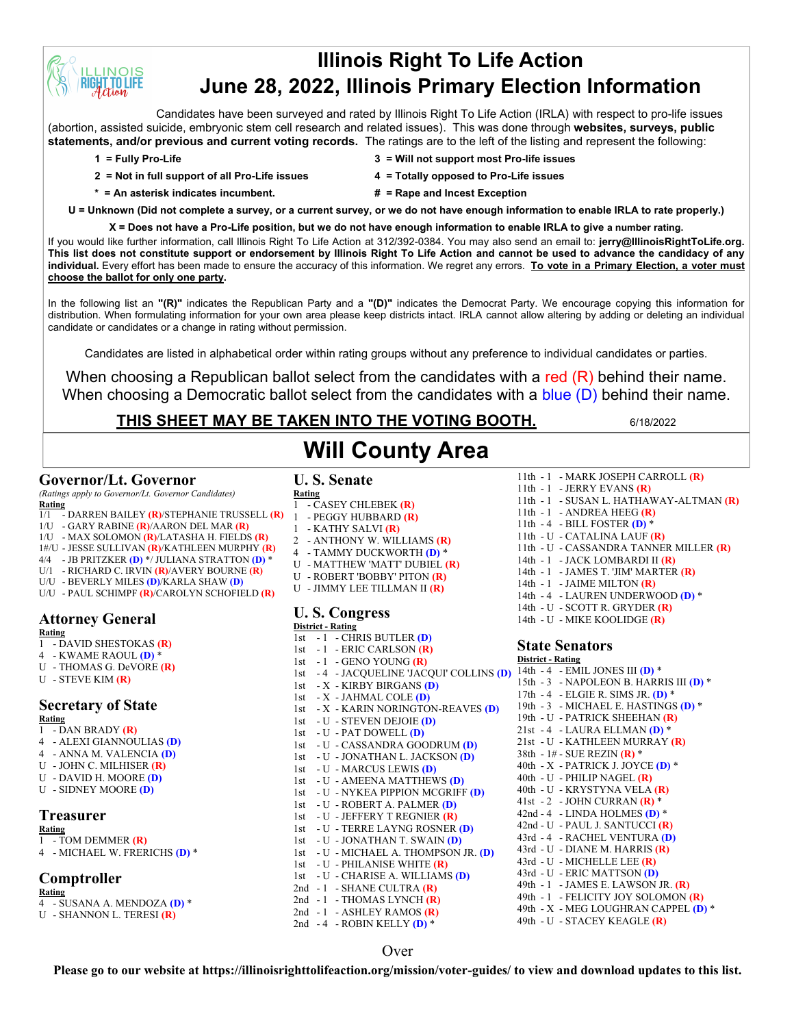## **Illinois Right To Life Action June 28, 2022, Illinois Primary Election Information**

Candidates have been surveyed and rated by Illinois Right To Life Action (IRLA) with respect to pro-life issues (abortion, assisted suicide, embryonic stem cell research and related issues). This was done through **websites, surveys, public statements, and/or previous and current voting records.** The ratings are to the left of the listing and represent the following:

**INOIS TIOLIFE** 

- **2 = Not in full support of all Pro-Life issues 4 = Totally opposed to Pro-Life issues**
- **1 = Fully Pro-Life 3 = Will not support most Pro-life issues**
	-
- 
- 
- **\* = An asterisk indicates incumbent. # = Rape and Incest Exception**

**U = Unknown (Did not complete a survey, or a current survey, or we do not have enough information to enable IRLA to rate properly.)**

**X = Does not have a Pro-Life position, but we do not have enough information to enable IRLA to give a number rating.**  If you would like further information, call Illinois Right To Life Action at 312/392-0384. You may also send an email to: **jerry@IllinoisRightToLife.org. This list does not constitute support or endorsement by Illinois Right To Life Action and cannot be used to advance the candidacy of any individual.** Every effort has been made to ensure the accuracy of this information. We regret any errors. **To vote in a Primary Election, a voter must choose the ballot for only one party.**

In the following list an **"(R)"** indicates the Republican Party and a **"(D)"** indicates the Democrat Party. We encourage copying this information for distribution. When formulating information for your own area please keep districts intact. IRLA cannot allow altering by adding or deleting an individual candidate or candidates or a change in rating without permission.

Candidates are listed in alphabetical order within rating groups without any preference to individual candidates or parties.

When choosing a Republican ballot select from the candidates with a red (R) behind their name. When choosing a Democratic ballot select from the candidates with a blue (D) behind their name.

### **THIS SHEET MAY BE TAKEN INTO THE VOTING BOOTH.** 6/18/2022

### **Governor/Lt. Governor**

*(Ratings apply to Governor/Lt. Governor Candidates)* **Rating**

- 1/1 DARREN BAILEY **(R)**/STEPHANIE TRUSSELL **(R)**
- 1/U GARY RABINE **(R)**/AARON DEL MAR **(R)**
- 1/U MAX SOLOMON **(R)**/LATASHA H. FIELDS **(R)**
- 1#/U JESSE SULLIVAN **(R)**/KATHLEEN MURPHY **(R)**
- 4/4 JB PRITZKER **(D)** \*/ JULIANA STRATTON **(D)** \*
- U/1 RICHARD C. IRVIN **(R)**/AVERY BOURNE **(R)**
- U/U BEVERLY MILES **(D)**/KARLA SHAW **(D)**
- U/U PAUL SCHIMPF **(R)**/CAROLYN SCHOFIELD **(R)**

### **Attorney General**

- **Rating**
- 1 DAVID SHESTOKAS **(R)**
- 4 KWAME RAOUL **(D)** \*
- U THOMAS G. DeVORE **(R)**
- U STEVE KIM **(R)**

### **Secretary of State**

- **Rating** 1 - DAN BRADY **(R)**
- 4 ALEXI GIANNOULIAS **(D)**
- 4 ANNA M. VALENCIA **(D)**
- U JOHN C. MILHISER **(R)**
- U DAVID H. MOORE **(D)**
- U SIDNEY MOORE **(D)**

### **Treasurer**

- **Rating** 1 - TOM DEMMER **(R)**
- 4 MICHAEL W. FRERICHS **(D)** \*

### **Comptroller**

- **Rating**
- 4 SUSANA A. MENDOZA **(D)** \*
- U SHANNON L. TERESI **(R)**

### **U. S. Senate Will County Area**

**Rating**

- 1 CASEY CHLEBEK **(R)**
- 1 PEGGY HUBBARD **(R)**
- 1 KATHY SALVI **(R)**
- 2 ANTHONY W. WILLIAMS **(R)**
- 4 TAMMY DUCKWORTH **(D)** \*
- U MATTHEW 'MATT' DUBIEL **(R)**
- U ROBERT 'BOBBY' PITON **(R)**
- U JIMMY LEE TILLMAN II **(R)**

#### **U. S. Congress District - Rating**

- 1st 1 CHRIS BUTLER **(D)** 1st - 1 - ERIC CARLSON **(R)** 1st - 1 - GENO YOUNG **(R)** 1st - 4 - JACQUELINE 'JACQUI' COLLINS **(D)** 1st - X - KIRBY BIRGANS **(D)** 1st - X - JAHMAL COLE **(D)** 1st - X - KARIN NORINGTON-REAVES **(D)** 1st - U - STEVEN DEJOIE **(D)** 1st - U - PAT DOWELL **(D)** 1st - U - CASSANDRA GOODRUM **(D)** 1st - U - JONATHAN L. JACKSON **(D)** 1st - U - MARCUS LEWIS **(D)** 1st - U - AMEENA MATTHEWS **(D)** 1st - U - NYKEA PIPPION MCGRIFF **(D)** 1st - U - ROBERT A. PALMER **(D)** 1st - U - JEFFERY T REGNIER **(R)** 1st - U - TERRE LAYNG ROSNER **(D)** 1st - U - JONATHAN T. SWAIN **(D)** 1st - U - MICHAEL A. THOMPSON JR. **(D)** 1st - U - PHILANISE WHITE **(R)** 1st - U - CHARISE A. WILLIAMS **(D)** 2nd - 1 - SHANE CULTRA **(R)** 2nd - 1 - THOMAS LYNCH (R) 2nd - 1 - ASHLEY RAMOS **(R)**
- 2nd 4 ROBIN KELLY **(D)** \*
- 11th 1 MARK JOSEPH CARROLL **(R)** 11th - 1 - JERRY EVANS **(R)**
- 11th 1 SUSAN L. HATHAWAY-ALTMAN **(R)**
- 11th 1 ANDREA HEEG **(R)**
- 11th 4 BILL FOSTER **(D)** \*
- 11th U CATALINA LAUF **(R)**
- 11th U CASSANDRA TANNER MILLER **(R)**
- 14th 1 JACK LOMBARDI II **(R)**
- 14th 1 JAMES T. 'JIM' MARTER **(R)**
- 14th 1 JAIME MILTON **(R)** 14th - 4 - LAUREN UNDERWOOD **(D)** \*
- 14th U SCOTT R. GRYDER **(R)**
- 14th U MIKE KOOLIDGE **(R)**

#### **State Senators**

14th - 4 - EMIL JONES III **(D)** \* 15th - 3 - NAPOLEON B. HARRIS III **(D)** \* 17th - 4 - ELGIE R. SIMS JR. **(D)** \* 19th - 3 - MICHAEL E. HASTINGS **(D)** \* 19th - U - PATRICK SHEEHAN **(R)** 21st - U - KATHLEEN MURRAY **(R)** 38th - 1# - SUE REZIN **(R)** \* 40th - X - PATRICK J. JOYCE **(D)** \* 40th - U - PHILIP NAGEL **(R)** 40th - U - KRYSTYNA VELA **(R)** 41st - 2 - JOHN CURRAN **(R)** \* 42nd - 4 - LINDA HOLMES **(D)** \* 42nd - U - PAUL J. SANTUCCI **(R)** 43rd - 4 - RACHEL VENTURA **(D)** 43rd - U - DIANE M. HARRIS **(R)** 43rd - U - MICHELLE LEE **(R)** 43rd - U - ERIC MATTSON **(D)** 49th - 1 - JAMES E. LAWSON JR. **(R)** 49th - 1 - FELICITY JOY SOLOMON **(R)** 49th - X - MEG LOUGHRAN CAPPEL **(D)** \* 49th - U - STACEY KEAGLE **(R)**

#### Over

**Please go to our website at https://illinoisrighttolifeaction.org/mission/voter-guides/ to view and download updates to this list.**

# **District - Rating**

- 21st 4 LAURA ELLMAN **(D)** \*
- 
-